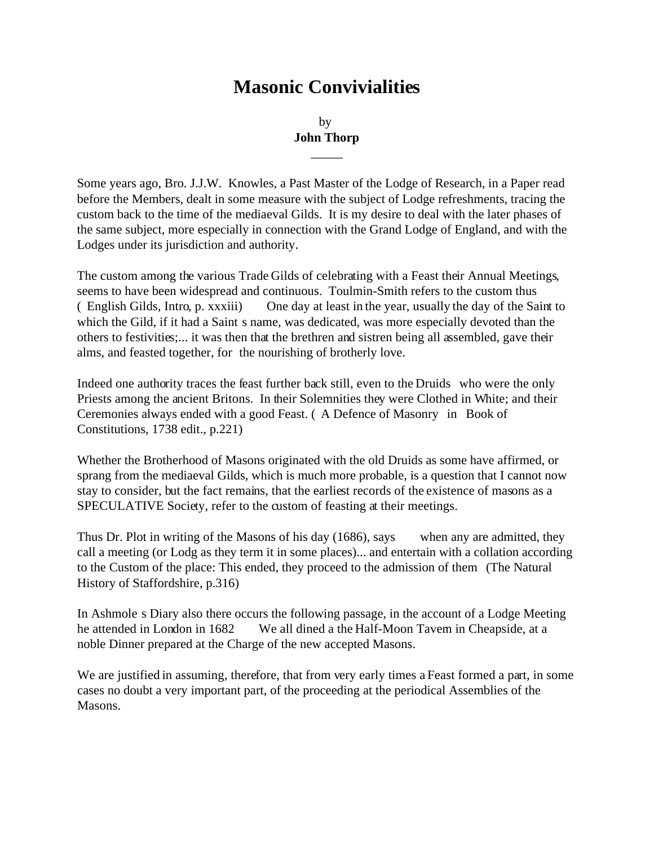# **Masonic Convivialities**

# by **John Thorp**

 $\overline{\phantom{a}}$ 

Some years ago, Bro. J.J.W. Knowles, a Past Master of the Lodge of Research, in a Paper read before the Members, dealt in some measure with the subject of Lodge refreshments, tracing the custom back to the time of the mediaeval Gilds. It is my desire to deal with the later phases of the same subject, more especially in connection with the Grand Lodge of England, and with the Lodges under its jurisdiction and authority.

The custom among the various Trade Gilds of celebrating with a Feast their Annual Meetings, seems to have been widespread and continuous. Toulmin-Smith refers to the custom thus ( English Gilds, Intro, p. xxxiii) One day at least in the year, usually the day of the Saint to which the Gild, if it had a Saint s name, was dedicated, was more especially devoted than the others to festivities;... it was then that the brethren and sistren being all assembled, gave their alms, and feasted together, for the nourishing of brotherly love.

Indeed one authority traces the feast further back still, even to the Druids who were the only Priests among the ancient Britons. In their Solemnities they were Clothed in White; and their Ceremonies always ended with a good Feast. ( A Defence of Masonry in Book of Constitutions, 1738 edit., p.221)

Whether the Brotherhood of Masons originated with the old Druids as some have affirmed, or sprang from the mediaeval Gilds, which is much more probable, is a question that I cannot now stay to consider, but the fact remains, that the earliest records of the existence of masons as a SPECULATIVE Society, refer to the custom of feasting at their meetings.

Thus Dr. Plot in writing of the Masons of his day (1686), says when any are admitted, they call a meeting (or Lodg as they term it in some places)... and entertain with a collation according to the Custom of the place: This ended, they proceed to the admission of them (The Natural History of Staffordshire, p.316)

In Ashmole s Diary also there occurs the following passage, in the account of a Lodge Meeting he attended in London in 1682 We all dined a the Half-Moon Tavem in Cheapside, at a noble Dinner prepared at the Charge of the new accepted Masons.

We are justified in assuming, therefore, that from very early times a Feast formed a part, in some cases no doubt a very important part, of the proceeding at the periodical Assemblies of the Masons.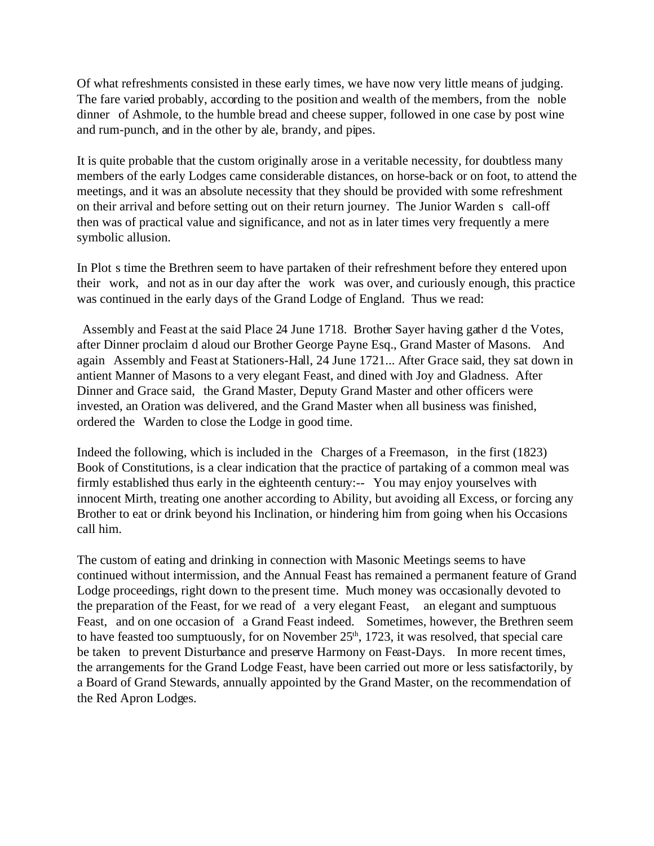Of what refreshments consisted in these early times, we have now very little means of judging. The fare varied probably, according to the position and wealth of the members, from the noble dinner of Ashmole, to the humble bread and cheese supper, followed in one case by post wine and rum-punch, and in the other by ale, brandy, and pipes.

It is quite probable that the custom originally arose in a veritable necessity, for doubtless many members of the early Lodges came considerable distances, on horse-back or on foot, to attend the meetings, and it was an absolute necessity that they should be provided with some refreshment on their arrival and before setting out on their return journey. The Junior Warden s call-off then was of practical value and significance, and not as in later times very frequently a mere symbolic allusion.

In Plot s time the Brethren seem to have partaken of their refreshment before they entered upon their work, and not as in our day after the work was over, and curiously enough, this practice was continued in the early days of the Grand Lodge of England. Thus we read:

 Assembly and Feast at the said Place 24 June 1718. Brother Sayer having gather d the Votes, after Dinner proclaim d aloud our Brother George Payne Esq., Grand Master of Masons. And again Assembly and Feast at Stationers-Hall, 24 June 1721... After Grace said, they sat down in antient Manner of Masons to a very elegant Feast, and dined with Joy and Gladness. After Dinner and Grace said, the Grand Master, Deputy Grand Master and other officers were invested, an Oration was delivered, and the Grand Master when all business was finished, ordered the Warden to close the Lodge in good time.

Indeed the following, which is included in the Charges of a Freemason, in the first (1823) Book of Constitutions, is a clear indication that the practice of partaking of a common meal was firmly established thus early in the eighteenth century:-- You may enjoy yourselves with innocent Mirth, treating one another according to Ability, but avoiding all Excess, or forcing any Brother to eat or drink beyond his Inclination, or hindering him from going when his Occasions call him.

The custom of eating and drinking in connection with Masonic Meetings seems to have continued without intermission, and the Annual Feast has remained a permanent feature of Grand Lodge proceedings, right down to the present time. Much money was occasionally devoted to the preparation of the Feast, for we read of a very elegant Feast, an elegant and sumptuous Feast, and on one occasion of a Grand Feast indeed. Sometimes, however, the Brethren seem to have feasted too sumptuously, for on November  $25<sup>th</sup>$ , 1723, it was resolved, that special care be taken to prevent Disturbance and preserve Harmony on Feast-Days. In more recent times, the arrangements for the Grand Lodge Feast, have been carried out more or less satisfactorily, by a Board of Grand Stewards, annually appointed by the Grand Master, on the recommendation of the Red Apron Lodges.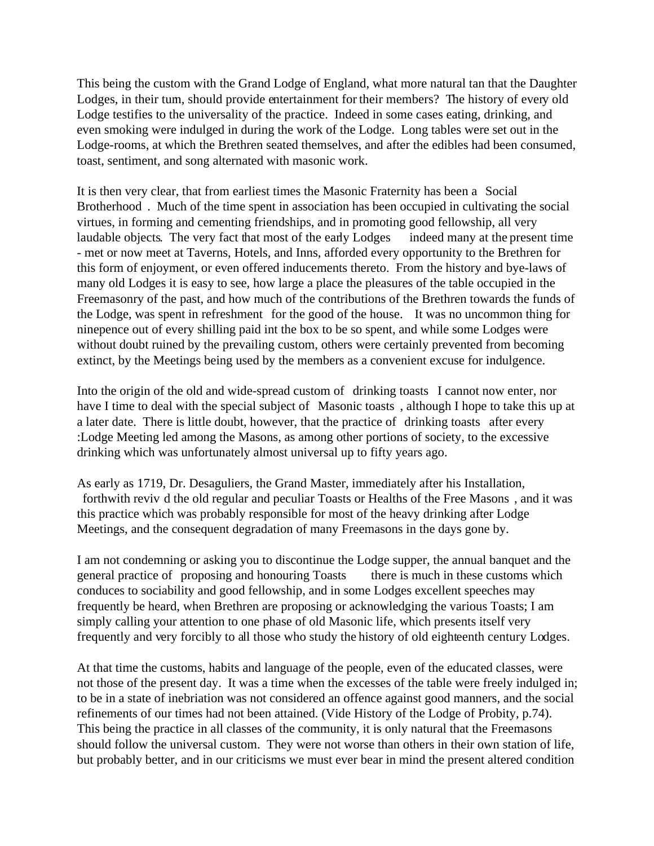This being the custom with the Grand Lodge of England, what more natural tan that the Daughter Lodges, in their turn, should provide entertainment for their members? The history of every old Lodge testifies to the universality of the practice. Indeed in some cases eating, drinking, and even smoking were indulged in during the work of the Lodge. Long tables were set out in the Lodge-rooms, at which the Brethren seated themselves, and after the edibles had been consumed, toast, sentiment, and song alternated with masonic work.

It is then very clear, that from earliest times the Masonic Fraternity has been a Social Brotherhood . Much of the time spent in association has been occupied in cultivating the social virtues, in forming and cementing friendships, and in promoting good fellowship, all very laudable objects. The very fact that most of the early Lodges indeed many at the present time - met or now meet at Taverns, Hotels, and Inns, afforded every opportunity to the Brethren for this form of enjoyment, or even offered inducements thereto. From the history and bye-laws of many old Lodges it is easy to see, how large a place the pleasures of the table occupied in the Freemasonry of the past, and how much of the contributions of the Brethren towards the funds of the Lodge, was spent in refreshment for the good of the house. It was no uncommon thing for ninepence out of every shilling paid int the box to be so spent, and while some Lodges were without doubt ruined by the prevailing custom, others were certainly prevented from becoming extinct, by the Meetings being used by the members as a convenient excuse for indulgence.

Into the origin of the old and wide-spread custom of drinking toasts I cannot now enter, nor have I time to deal with the special subject of Masonic toasts, although I hope to take this up at a later date. There is little doubt, however, that the practice of drinking toasts after every :Lodge Meeting led among the Masons, as among other portions of society, to the excessive drinking which was unfortunately almost universal up to fifty years ago.

As early as 1719, Dr. Desaguliers, the Grand Master, immediately after his Installation, forthwith reviv d the old regular and peculiar Toasts or Healths of the Free Masons , and it was this practice which was probably responsible for most of the heavy drinking after Lodge Meetings, and the consequent degradation of many Freemasons in the days gone by.

I am not condemning or asking you to discontinue the Lodge supper, the annual banquet and the general practice of proposing and honouring Toasts there is much in these customs which conduces to sociability and good fellowship, and in some Lodges excellent speeches may frequently be heard, when Brethren are proposing or acknowledging the various Toasts; I am simply calling your attention to one phase of old Masonic life, which presents itself very frequently and very forcibly to all those who study the history of old eighteenth century Lodges.

At that time the customs, habits and language of the people, even of the educated classes, were not those of the present day. It was a time when the excesses of the table were freely indulged in; to be in a state of inebriation was not considered an offence against good manners, and the social refinements of our times had not been attained. (Vide History of the Lodge of Probity, p.74). This being the practice in all classes of the community, it is only natural that the Freemasons should follow the universal custom. They were not worse than others in their own station of life, but probably better, and in our criticisms we must ever bear in mind the present altered condition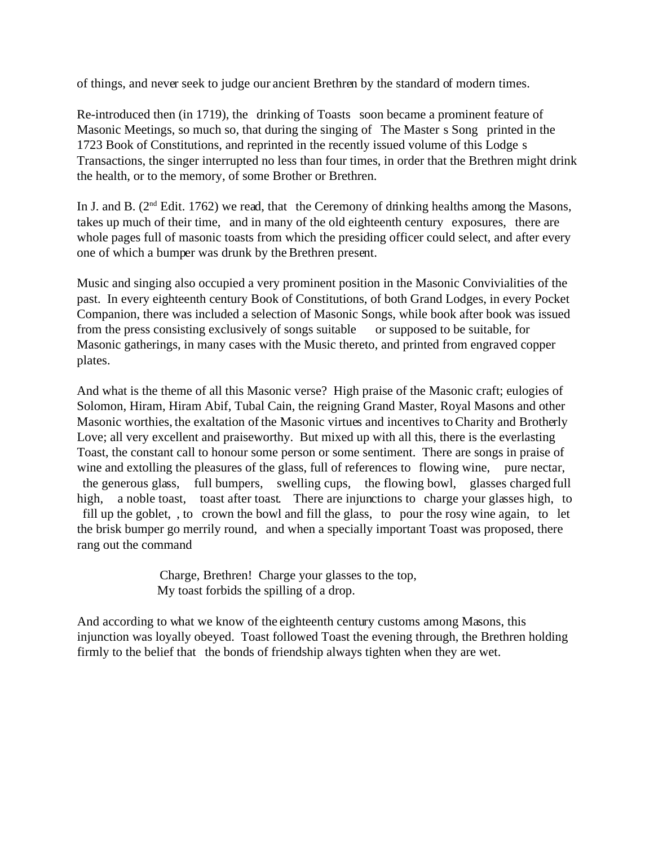of things, and never seek to judge our ancient Brethren by the standard of modern times.

Re-introduced then (in 1719), the drinking of Toasts soon became a prominent feature of Masonic Meetings, so much so, that during the singing of The Master s Song printed in the 1723 Book of Constitutions, and reprinted in the recently issued volume of this Lodge s Transactions, the singer interrupted no less than four times, in order that the Brethren might drink the health, or to the memory, of some Brother or Brethren.

In J. and B.  $(2<sup>nd</sup> Edit, 1762)$  we read, that the Ceremony of drinking healths among the Masons, takes up much of their time, and in many of the old eighteenth century exposures, there are whole pages full of masonic toasts from which the presiding officer could select, and after every one of which a bumper was drunk by the Brethren present.

Music and singing also occupied a very prominent position in the Masonic Convivialities of the past. In every eighteenth century Book of Constitutions, of both Grand Lodges, in every Pocket Companion, there was included a selection of Masonic Songs, while book after book was issued from the press consisting exclusively of songs suitable or supposed to be suitable, for Masonic gatherings, in many cases with the Music thereto, and printed from engraved copper plates.

And what is the theme of all this Masonic verse? High praise of the Masonic craft; eulogies of Solomon, Hiram, Hiram Abif, Tubal Cain, the reigning Grand Master, Royal Masons and other Masonic worthies, the exaltation of the Masonic virtues and incentives to Charity and Brotherly Love; all very excellent and praiseworthy. But mixed up with all this, there is the everlasting Toast, the constant call to honour some person or some sentiment. There are songs in praise of wine and extolling the pleasures of the glass, full of references to flowing wine, pure nectar, the generous glass, full bumpers, swelling cups, the flowing bowl, glasses charged full high, a noble toast, toast after toast. There are injunctions to charge your glasses high, to fill up the goblet, , to crown the bowl and fill the glass, to pour the rosy wine again, to let the brisk bumper go merrily round, and when a specially important Toast was proposed, there rang out the command

> Charge, Brethren! Charge your glasses to the top, My toast forbids the spilling of a drop.

And according to what we know of the eighteenth century customs among Masons, this injunction was loyally obeyed. Toast followed Toast the evening through, the Brethren holding firmly to the belief that the bonds of friendship always tighten when they are wet.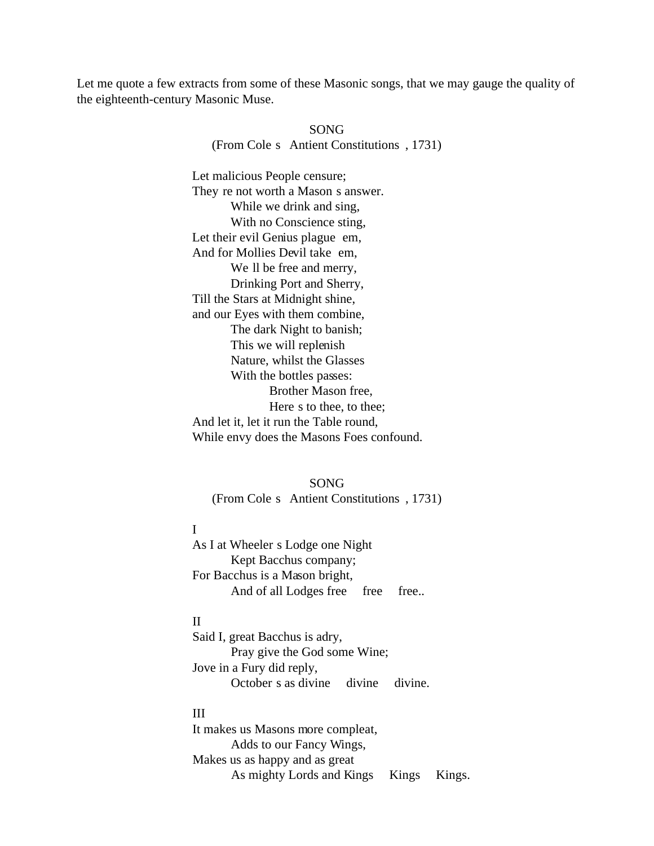Let me quote a few extracts from some of these Masonic songs, that we may gauge the quality of the eighteenth-century Masonic Muse.

> SONG (From Cole s Antient Constitutions , 1731)

Let malicious People censure; They re not worth a Mason s answer. While we drink and sing, With no Conscience sting, Let their evil Genius plague em, And for Mollies Devil take em, We ll be free and merry, Drinking Port and Sherry, Till the Stars at Midnight shine, and our Eyes with them combine, The dark Night to banish; This we will replenish Nature, whilst the Glasses With the bottles passes: Brother Mason free, Here s to thee, to thee; And let it, let it run the Table round, While envy does the Masons Foes confound.

SONG

(From Cole s Antient Constitutions , 1731)

# I

As I at Wheeler s Lodge one Night Kept Bacchus company; For Bacchus is a Mason bright, And of all Lodges free free free...

#### II

Said I, great Bacchus is adry, Pray give the God some Wine; Jove in a Fury did reply, October s as divine divine divine.

## III

It makes us Masons more compleat, Adds to our Fancy Wings, Makes us as happy and as great As mighty Lords and Kings Kings Kings.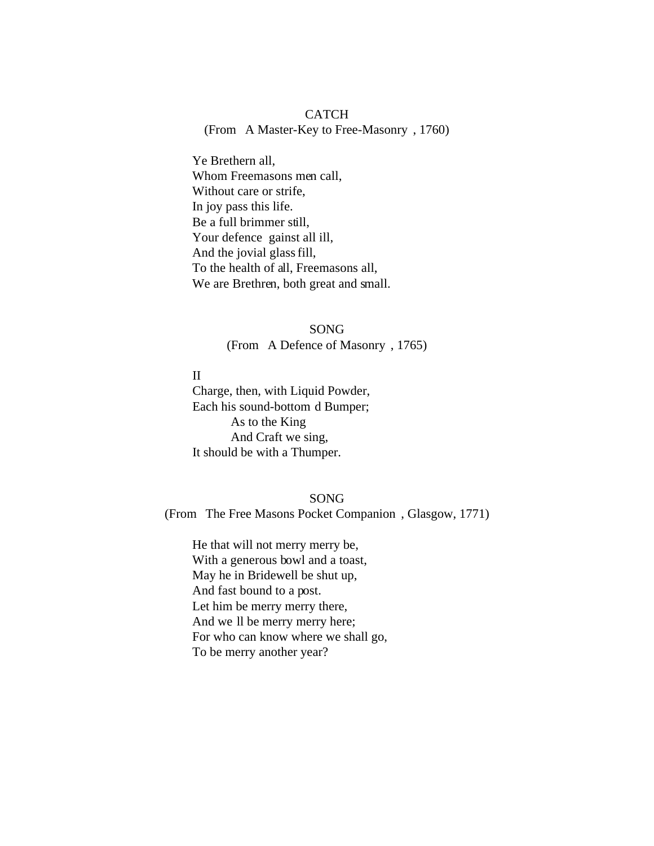## **CATCH** (From A Master-Key to Free-Masonry , 1760)

Ye Brethern all, Whom Freemasons men call, Without care or strife, In joy pass this life. Be a full brimmer still, Your defence gainst all ill, And the jovial glass fill, To the health of all, Freemasons all, We are Brethren, both great and small.

> SONG (From A Defence of Masonry , 1765)

II Charge, then, with Liquid Powder, Each his sound-bottom d Bumper; As to the King And Craft we sing, It should be with a Thumper.

## SONG

(From The Free Masons Pocket Companion , Glasgow, 1771)

He that will not merry merry be, With a generous bowl and a toast, May he in Bridewell be shut up, And fast bound to a post. Let him be merry merry there, And we ll be merry merry here; For who can know where we shall go, To be merry another year?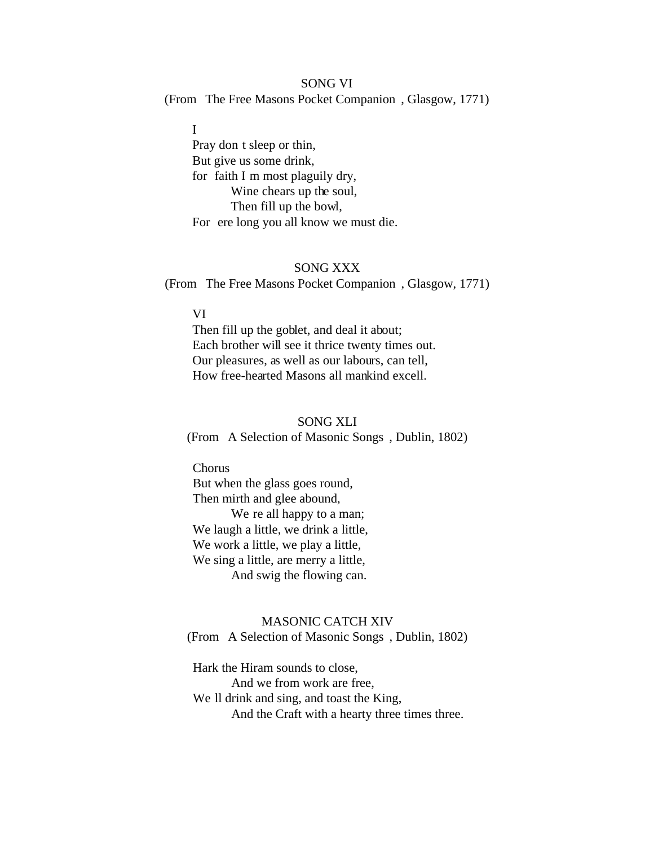# SONG VI (From The Free Masons Pocket Companion , Glasgow, 1771)

I Pray don t sleep or thin, But give us some drink, for faith I m most plaguily dry, Wine chears up the soul, Then fill up the bowl, For ere long you all know we must die.

#### SONG XXX

(From The Free Masons Pocket Companion , Glasgow, 1771)

#### VI

Then fill up the goblet, and deal it about; Each brother will see it thrice twenty times out. Our pleasures, as well as our labours, can tell, How free-hearted Masons all mankind excell.

#### SONG XLI

(From A Selection of Masonic Songs , Dublin, 1802)

Chorus But when the glass goes round, Then mirth and glee abound, We re all happy to a man; We laugh a little, we drink a little, We work a little, we play a little, We sing a little, are merry a little, And swig the flowing can.

## MASONIC CATCH XIV (From A Selection of Masonic Songs , Dublin, 1802)

Hark the Hiram sounds to close, And we from work are free, We ll drink and sing, and toast the King, And the Craft with a hearty three times three.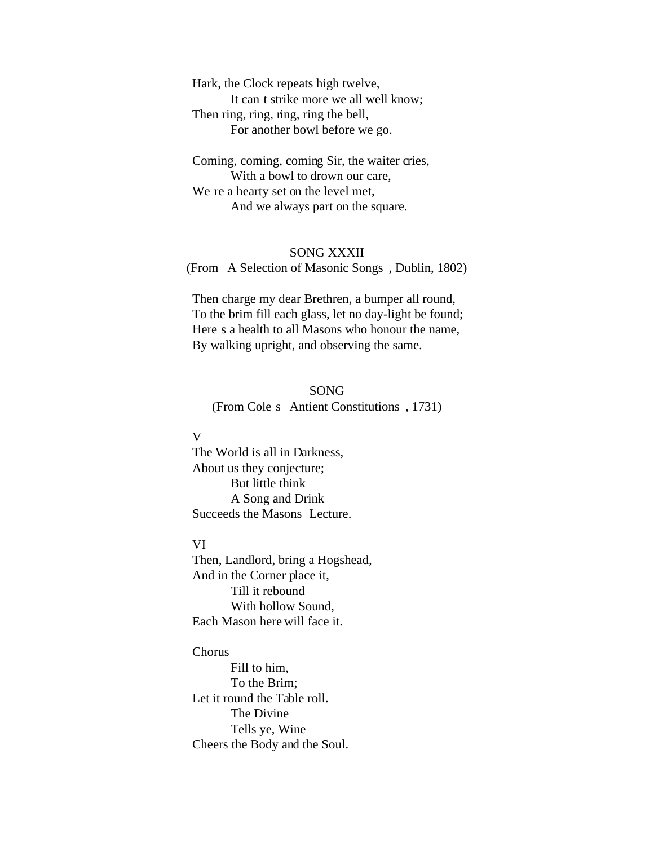Hark, the Clock repeats high twelve, It can t strike more we all well know; Then ring, ring, ring, ring the bell, For another bowl before we go.

Coming, coming, coming Sir, the waiter cries, With a bowl to drown our care, We re a hearty set on the level met, And we always part on the square.

## SONG XXXII

(From A Selection of Masonic Songs , Dublin, 1802)

Then charge my dear Brethren, a bumper all round, To the brim fill each glass, let no day-light be found; Here s a health to all Masons who honour the name, By walking upright, and observing the same.

# SONG (From Cole s Antient Constitutions , 1731)

## V

The World is all in Darkness, About us they conjecture; But little think A Song and Drink Succeeds the Masons Lecture.

## VI

Then, Landlord, bring a Hogshead, And in the Corner place it, Till it rebound With hollow Sound, Each Mason here will face it.

## Chorus

Fill to him, To the Brim; Let it round the Table roll. The Divine Tells ye, Wine Cheers the Body and the Soul.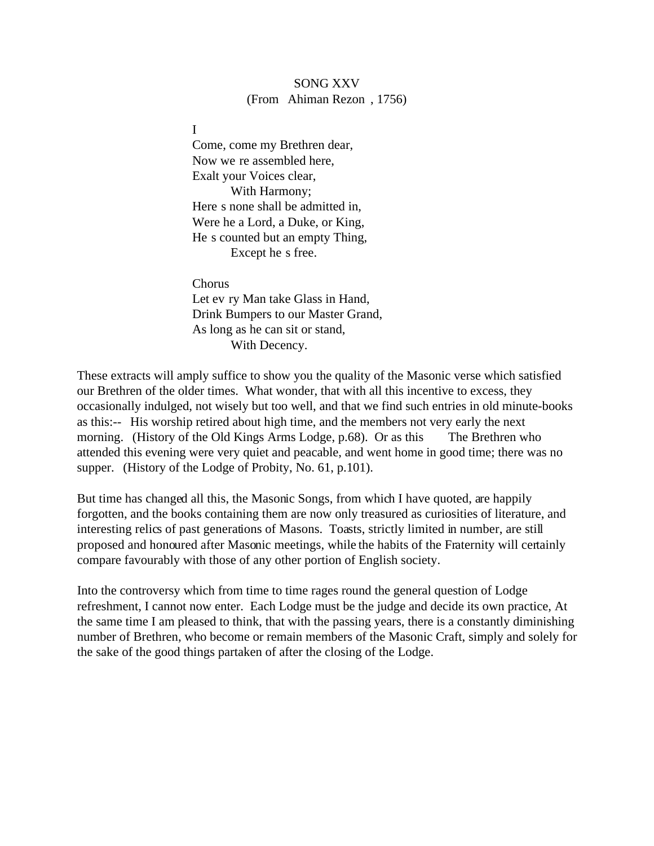## SONG XXV (From Ahiman Rezon , 1756)

I

Come, come my Brethren dear, Now we re assembled here, Exalt your Voices clear, With Harmony; Here s none shall be admitted in, Were he a Lord, a Duke, or King, He s counted but an empty Thing, Except he s free.

Chorus Let ev ry Man take Glass in Hand, Drink Bumpers to our Master Grand, As long as he can sit or stand, With Decency.

These extracts will amply suffice to show you the quality of the Masonic verse which satisfied our Brethren of the older times. What wonder, that with all this incentive to excess, they occasionally indulged, not wisely but too well, and that we find such entries in old minute-books as this:-- His worship retired about high time, and the members not very early the next morning. (History of the Old Kings Arms Lodge, p.68). Or as this The Brethren who attended this evening were very quiet and peacable, and went home in good time; there was no supper. (History of the Lodge of Probity, No. 61, p.101).

But time has changed all this, the Masonic Songs, from which I have quoted, are happily forgotten, and the books containing them are now only treasured as curiosities of literature, and interesting relics of past generations of Masons. Toasts, strictly limited in number, are still proposed and honoured after Masonic meetings, while the habits of the Fraternity will certainly compare favourably with those of any other portion of English society.

Into the controversy which from time to time rages round the general question of Lodge refreshment, I cannot now enter. Each Lodge must be the judge and decide its own practice, At the same time I am pleased to think, that with the passing years, there is a constantly diminishing number of Brethren, who become or remain members of the Masonic Craft, simply and solely for the sake of the good things partaken of after the closing of the Lodge.